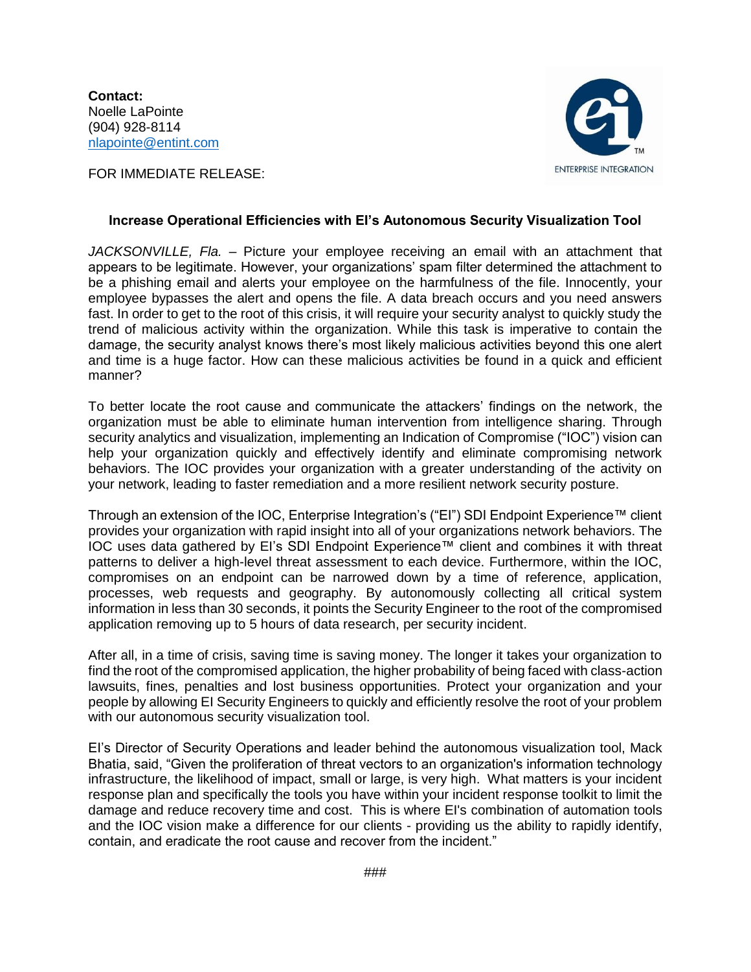**Contact:** Noelle LaPointe (904) 928-8114 [nlapointe@entint.com](mailto:nlapointe@entint.com)

FOR IMMEDIATE RELEASE:



## **Increase Operational Efficiencies with EI's Autonomous Security Visualization Tool**

*JACKSONVILLE, Fla.* – Picture your employee receiving an email with an attachment that appears to be legitimate. However, your organizations' spam filter determined the attachment to be a phishing email and alerts your employee on the harmfulness of the file. Innocently, your employee bypasses the alert and opens the file. A data breach occurs and you need answers fast. In order to get to the root of this crisis, it will require your security analyst to quickly study the trend of malicious activity within the organization. While this task is imperative to contain the damage, the security analyst knows there's most likely malicious activities beyond this one alert and time is a huge factor. How can these malicious activities be found in a quick and efficient manner?

To better locate the root cause and communicate the attackers' findings on the network, the organization must be able to eliminate human intervention from intelligence sharing. Through security analytics and visualization, implementing an Indication of Compromise ("IOC") vision can help your organization quickly and effectively identify and eliminate compromising network behaviors. The IOC provides your organization with a greater understanding of the activity on your network, leading to faster remediation and a more resilient network security posture.

Through an extension of the IOC, Enterprise Integration's ("EI") SDI Endpoint Experience™ client provides your organization with rapid insight into all of your organizations network behaviors. The IOC uses data gathered by EI's SDI Endpoint Experience™ client and combines it with threat patterns to deliver a high-level threat assessment to each device. Furthermore, within the IOC, compromises on an endpoint can be narrowed down by a time of reference, application, processes, web requests and geography. By autonomously collecting all critical system information in less than 30 seconds, it points the Security Engineer to the root of the compromised application removing up to 5 hours of data research, per security incident.

After all, in a time of crisis, saving time is saving money. The longer it takes your organization to find the root of the compromised application, the higher probability of being faced with class-action lawsuits, fines, penalties and lost business opportunities. Protect your organization and your people by allowing EI Security Engineers to quickly and efficiently resolve the root of your problem with our autonomous security visualization tool.

EI's Director of Security Operations and leader behind the autonomous visualization tool, Mack Bhatia, said, "Given the proliferation of threat vectors to an organization's information technology infrastructure, the likelihood of impact, small or large, is very high. What matters is your incident response plan and specifically the tools you have within your incident response toolkit to limit the damage and reduce recovery time and cost. This is where EI's combination of automation tools and the IOC vision make a difference for our clients - providing us the ability to rapidly identify, contain, and eradicate the root cause and recover from the incident."